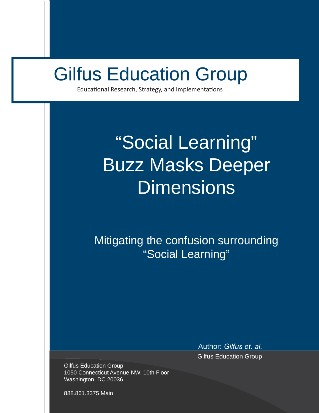# Gilfus Education Group

Educational Research, Strategy, and Implementations

## **Example 2018** "Social Learning" deeper Dimensions<br>20177 Macke Deer Buzz Masks Deeper **Dimensions**

Mitigating the confusion surrounding "Social Learning"

> Author: *Gilfus et. al.* Gilfus Education Group

Gilfus Education Group 1050 Connecticut Avenue NW, 10th Floor Washington, DC 20036

888.861.3375 Main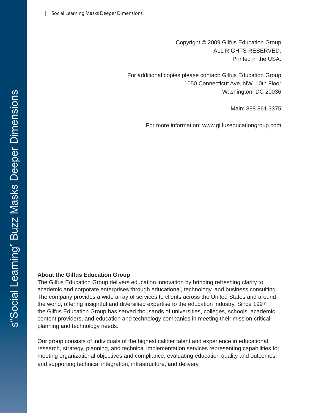Copyright © 2009 Gilfus Education Group ALL RIGHTS RESERVED. Printed in the USA.

For additional copies please contact: Gilfus Education Group 1050 Connecticut Ave, NW, 10th Floor Washington, DC 20036

Main: 888.861.3375

For more information: www.gilfuseducationgroup.com

#### **About the Gilfus Education Group**

The Gilfus Education Group delivers education innovation by bringing refreshing clarity to academic and corporate enterprises through educational, technology, and business consulting. The company provides a wide array of services to clients across the United States and around the world, offering insightful and diversified expertise to the education industry. Since 1997 the Gilfus Education Group has served thousands of universities, colleges, schools, academic content providers, and education and technology companies in meeting their mission-critical planning and technology needs.

Our group consists of individuals of the highest caliber talent and experience in educational research, strategy, planning, and technical implementation services representing capabilities for meeting organizational objectives and compliance, evaluating education quality and outcomes, and supporting technical integration, infrastructure, and delivery.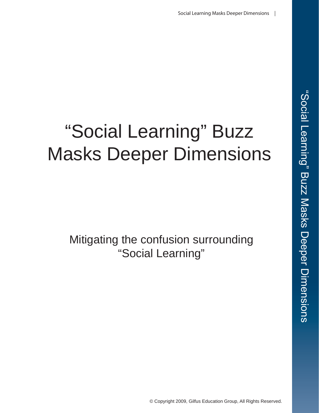# "Social Learning" Buzz Masks Deeper Dimensions

Mitigating the confusion surrounding "Social Learning"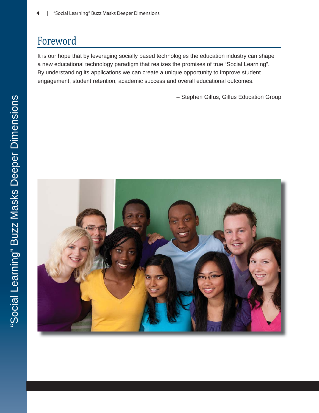#### Foreword

It is our hope that by leveraging socially based technologies the education industry can shape a new educational technology paradigm that realizes the promises of true "Social Learning". By understanding its applications we can create a unique opportunity to improve student engagement, student retention, academic success and overall educational outcomes.

– Stephen Gilfus, Gilfus Education Group

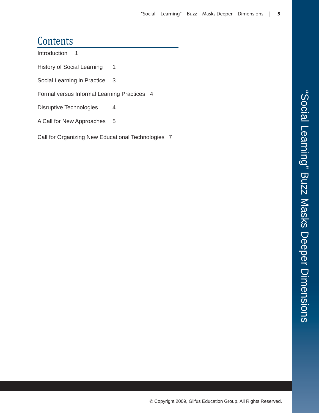#### **Contents**

Introduction 1

History of Social Learning 1

Social Learning in Practice 3

Formal versus Informal Learning Practices 4

Disruptive Technologies 4

A Call for New Approaches 5

Call for Organizing New Educational Technologies 7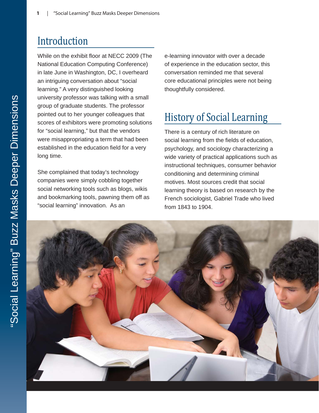### Introduction

While on the exhibit floor at NECC 2009 (The National Education Computing Conference) in late June in Washington, DC, I overheard an intriguing conversation about "social learning." A very distinguished looking university professor was talking with a small group of graduate students. The professor pointed out to her younger colleagues that scores of exhibitors were promoting solutions for "social learning," but that the vendors were misappropriating a term that had been established in the education field for a very long time.

She complained that today's technology companies were simply cobbling together social networking tools such as blogs, wikis and bookmarking tools, pawning them off as "social learning" innovation. As an

e-learning innovator with over a decade of experience in the education sector, this conversation reminded me that several core educational principles were not being thoughtfully considered.

### History of Social Learning

There is a century of rich literature on social learning from the fields of education, psychology, and sociology characterizing a wide variety of practical applications such as instructional techniques, consumer behavior conditioning and determining criminal motives. Most sources credit that social learning theory is based on research by the French sociologist, Gabriel Trade who lived from 1843 to 1904.

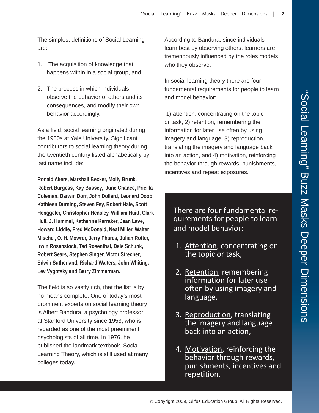The simplest definitions of Social Learning are:

- 1. The acquisition of knowledge that happens within in a social group, and
- 2. The process in which individuals observe the behavior of others and its consequences, and modify their own behavior accordingly.

As a field, social learning originated during the 1930s at Yale University. Significant contributors to social learning theory during the twentieth century listed alphabetically by last name include:

**Ronald Akers, Marshall Becker, Molly Brunk, Robert Burgess, Kay Bussey, June Chance, Pricilla Coleman, Darwin Dorr, John Dollard, Leonard Doob, Kathleen Durning, Steven Fey, Robert Hale, Scott Henggeler, Christopher Hensley, William Huitt, Clark Hull, J. Hummel, Katherine Karraker, Jean Lave, Howard Liddle, Fred McDonald, Neal Miller, Walter Mischel, O. H. Mowrer, Jerry Phares, Julian Rotter, Irwin Rosenstock, Ted Rosenthal, Dale Schunk, Robert Sears, Stephen Singer, Victor Strecher, Edwin Sutherland, Richard Walters, John Whiting, Lev Vygotsky and Barry Zimmerman.** 

The field is so vastly rich, that the list is by no means complete. One of today's most prominent experts on social learning theory is Albert Bandura, a psychology professor at Stanford University since 1953, who is regarded as one of the most preeminent psychologists of all time. In 1976, he published the landmark textbook, Social Learning Theory, which is still used at many colleges today.

According to Bandura, since individuals learn best by observing others, learners are tremendously influenced by the roles models who they observe.

In social learning theory there are four fundamental requirements for people to learn and model behavior:

1) attention, concentrating on the topic or task, 2) retention, remembering the information for later use often by using imagery and language, 3) reproduction, translating the imagery and language back into an action, and 4) motivation, reinforcing the behavior through rewards, punishments, incentives and repeat exposures.

There are four fundamental requirements for people to learn and model behavior:

- 1. Attention, concentrating on the topic or task,
- 2. Retention, remembering information for later use often by using imagery and language,
- 3. Reproduction, translating the imagery and language back into an action,
- 4. Motivation, reinforcing the behavior through rewards, punishments, incentives and repetition.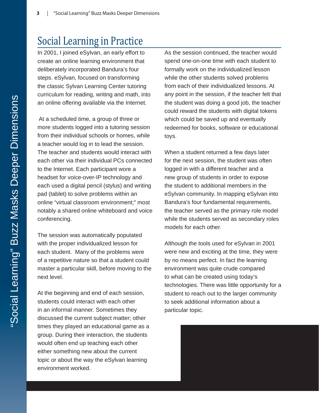#### Social Learning in Practice

In 2001, I joined eSylvan, an early effort to create an online learning environment that deliberately incorporated Bandura's four steps. eSylvan, focused on transforming the classic Sylvan Learning Center tutoring curriculum for reading, writing and math, into an online offering available via the Internet.

 At a scheduled time, a group of three or more students logged into a tutoring session from their individual schools or homes, while a teacher would log in to lead the session. The teacher and students would interact with each other via their individual PCs connected to the Internet. Each participant wore a headset for voice-over-IP technology and each used a digital pencil (stylus) and writing pad (tablet) to solve problems within an online "virtual classroom environment;" most notably a shared online whiteboard and voice conferencing.

The session was automatically populated with the proper individualized lesson for each student. Many of the problems were of a repetitive nature so that a student could master a particular skill, before moving to the next level.

At the beginning and end of each session, students could interact with each other in an informal manner. Sometimes they discussed the current subject matter; other times they played an educational game as a group. During their interaction, the students would often end up teaching each other either something new about the current topic or about the way the eSylvan learning environment worked.

As the session continued, the teacher would spend one-on-one time with each student to formally work on the individualized lesson while the other students solved problems from each of their individualized lessons. At any point in the session, if the teacher felt that the student was doing a good job, the teacher could reward the students with digital tokens which could be saved up and eventually redeemed for books, software or educational toys.

When a student returned a few days later for the next session, the student was often logged in with a different teacher and a new group of students in order to expose the student to additional members in the eSylvan community. In mapping eSylvan into Bandura's four fundamental requirements, the teacher served as the primary role model while the students served as secondary roles models for each other.

Although the tools used for eSylvan in 2001 were new and exciting at the time, they were by no means perfect. In fact the learning environment was quite crude compared to what can be created using today's technologies. There was little opportunity for a student to reach out to the larger community to seek additional information about a particular topic.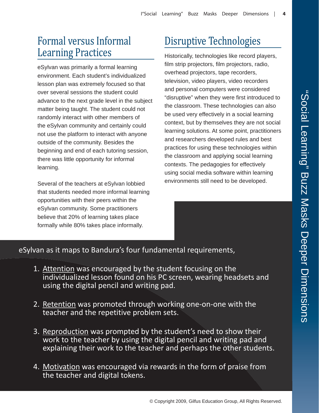### Formal versus Informal Learning Practices

eSylvan was primarily a formal learning environment. Each student's individualized lesson plan was extremely focused so that over several sessions the student could advance to the next grade level in the subject matter being taught. The student could not randomly interact with other members of the eSylvan community and certainly could not use the platform to interact with anyone outside of the community. Besides the beginning and end of each tutoring session, there was little opportunity for informal learning.

Several of the teachers at eSylvan lobbied that students needed more informal learning opportunities with their peers within the eSylvan community. Some practitioners believe that 20% of learning takes place formally while 80% takes place informally.

## Disruptive Technologies

Historically, technologies like record players, film strip projectors, film projectors, radio, overhead projectors, tape recorders, television, video players, video recorders and personal computers were considered "disruptive" when they were first introduced to the classroom. These technologies can also be used very effectively in a social learning context, but by themselves they are not social learning solutions. At some point, practitioners and researchers developed rules and best practices for using these technologies within the classroom and applying social learning contexts. The pedagogies for effectively using social media software within learning environments still need to be developed.

eSylvan as it maps to Bandura's four fundamental requirements,

- 1. Attention was encouraged by the student focusing on the individualized lesson found on his PC screen, wearing headsets and using the digital pencil and writing pad.
- 2. Retention was promoted through working one-on-one with the teacher and the repetitive problem sets.
- 3. Reproduction was prompted by the student's need to show their work to the teacher by using the digital pencil and writing pad and explaining their work to the teacher and perhaps the other students.
- 4. Motivation was encouraged via rewards in the form of praise from the teacher and digital tokens.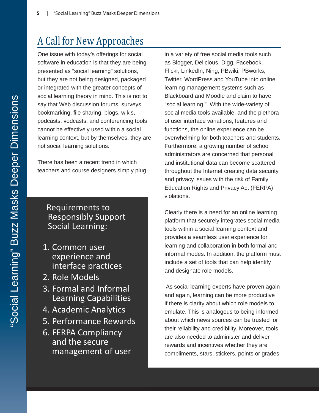### A Call for New Approaches

One issue with today's offerings for social software in education is that they are being presented as "social learning" solutions, but they are not being designed, packaged or integrated with the greater concepts of social learning theory in mind. This is not to say that Web discussion forums, surveys, bookmarking, file sharing, blogs, wikis, podcasts, vodcasts, and conferencing tools cannot be effectively used within a social learning context, but by themselves, they are not social learning solutions.

There has been a recent trend in which teachers and course designers simply plug

#### Requirements to Responsibly Support Social Learning:

- 1. Common user experience and interface practices
- 2. Role Models
- 3. Formal and Informal Learning Capabilities
- 4. Academic Analytics
- 5. Performance Rewards
- 6. FERPA Compliancy and the secure management of user

in a variety of free social media tools such as Blogger, Delicious, Digg, Facebook, Flickr, LinkedIn, Ning, PBwiki, PBworks, Twitter, WordPress and YouTube into online learning management systems such as Blackboard and Moodle and claim to have "social learning." With the wide-variety of social media tools available, and the plethora of user interface variations, features and functions, the online experience can be overwhelming for both teachers and students. Furthermore, a growing number of school administrators are concerned that personal and institutional data can become scattered throughout the Internet creating data security and privacy issues with the risk of Family Education Rights and Privacy Act (FERPA) violations.

Clearly there is a need for an online learning platform that securely integrates social media tools within a social learning context and provides a seamless user experience for learning and collaboration in both formal and informal modes. In addition, the platform must include a set of tools that can help identify and designate role models.

 As social learning experts have proven again and again, learning can be more productive if there is clarity about which role models to emulate. This is analogous to being informed about which news sources can be trusted for their reliability and credibility. Moreover, tools are also needed to administer and deliver rewards and incentives whether they are compliments, stars, stickers, points or grades.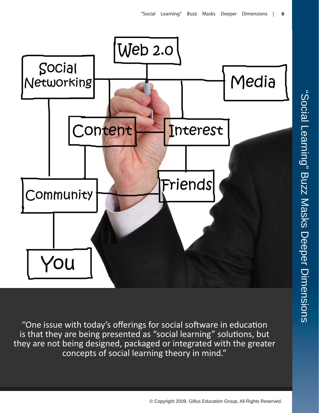

"One issue with today's offerings for social software in education is that they are being presented as "social learning" solutions, but they are not being designed, packaged or integrated with the greater concepts of social learning theory in mind."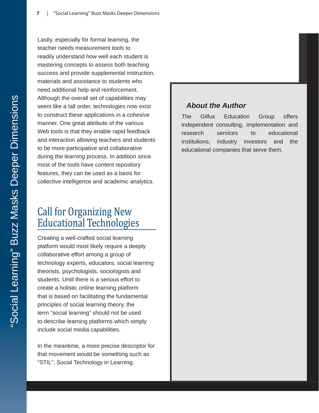Lastly, especially for formal learning, the teacher needs measurement tools to readily understand how well each student is mastering concepts to assess both teaching success and provide supplemental instruction, materials and assistance to students who need additional help and reinforcement. Although the overall set of capabilities may seem like a tall order, technologies now exist to construct these applications in a cohesive manner. One great attribute of the various Web tools is that they enable rapid feedback and interaction allowing teachers and students to be more participative and collaborative during the learning process. In addition since most of the tools have content repository features, they can be used as a basis for collective intelligence and academic analytics.

### Call for Organizing New Educational Technologies

Creating a well-crafted social learning platform would most likely require a deeply collaborative effort among a group of technology experts, educators, social learning theorists, psychologists, sociologists and students. Until there is a serious effort to create a holistic online learning platform that is based on facilitating the fundamental principles of social learning theory, the term "social learning" should not be used to describe learning platforms which simply include social media capabilities.

In the meantime, a more precise descriptor for that movement would be something such as "STIL", Social Technology in Learning.

#### *About the Author*

The Gilfus Education Group offers independent consulting, implementation and research services to educational institutions, industry investors and the educational companies that serve them.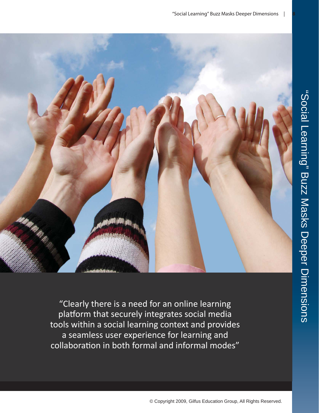

"Clearly there is a need for an online learning platform that securely integrates social media tools within a social learning context and provides a seamless user experience for learning and collaboration in both formal and informal modes"